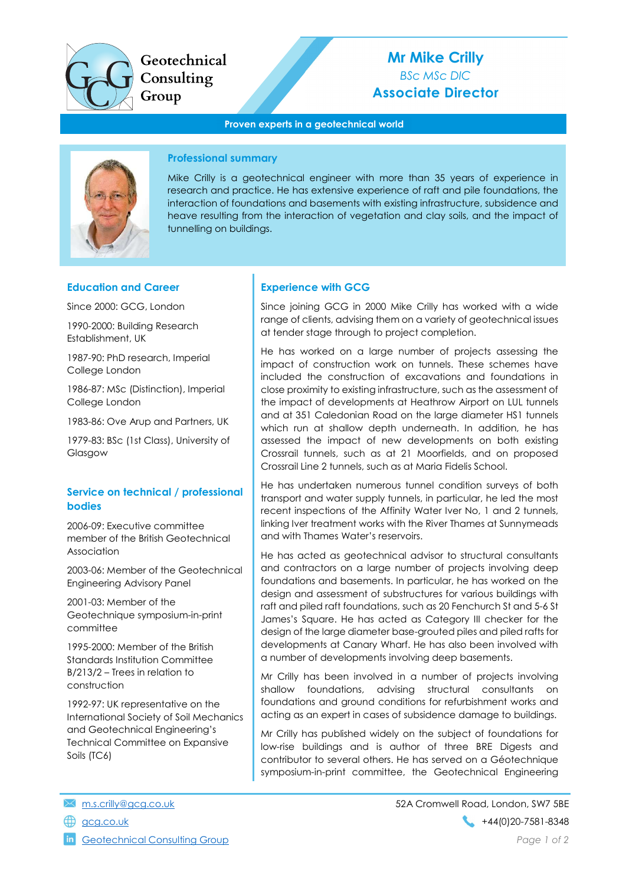

Geotechnical Consulting Group

# Mr Mike Crilly BSc MSc DIC Associate Director

#### Proven experts in a geotechnical world



## Professional summary

Mike Crilly is a geotechnical engineer with more than 35 years of experience in research and practice. He has extensive experience of raft and pile foundations, the interaction of foundations and basements with existing infrastructure, subsidence and heave resulting from the interaction of vegetation and clay soils, and the impact of tunnelling on buildings.

### Education and Career

Since 2000: GCG, London

1990-2000: Building Research Establishment, UK

1987-90: PhD research, Imperial College London

1986-87: MSc (Distinction), Imperial College London

1983-86: Ove Arup and Partners, UK

1979-83: BSc (1st Class), University of Glasgow

## Service on technical / professional bodies

2006-09: Executive committee member of the British Geotechnical Association

2003-06: Member of the Geotechnical Engineering Advisory Panel

2001-03: Member of the Geotechnique symposium-in-print committee

1995-2000: Member of the British Standards Institution Committee B/213/2 – Trees in relation to construction

1992-97: UK representative on the International Society of Soil Mechanics and Geotechnical Engineering's Technical Committee on Expansive Soils (TC6)

# Experience with GCG

Since joining GCG in 2000 Mike Crilly has worked with a wide range of clients, advising them on a variety of geotechnical issues at tender stage through to project completion.

He has worked on a large number of projects assessing the impact of construction work on tunnels. These schemes have included the construction of excavations and foundations in close proximity to existing infrastructure, such as the assessment of the impact of developments at Heathrow Airport on LUL tunnels and at 351 Caledonian Road on the large diameter HS1 tunnels which run at shallow depth underneath. In addition, he has assessed the impact of new developments on both existing Crossrail tunnels, such as at 21 Moorfields, and on proposed Crossrail Line 2 tunnels, such as at Maria Fidelis School.

He has undertaken numerous tunnel condition surveys of both transport and water supply tunnels, in particular, he led the most recent inspections of the Affinity Water Iver No, 1 and 2 tunnels, linking Iver treatment works with the River Thames at Sunnymeads and with Thames Water's reservoirs.

He has acted as geotechnical advisor to structural consultants and contractors on a large number of projects involving deep foundations and basements. In particular, he has worked on the design and assessment of substructures for various buildings with raft and piled raft foundations, such as 20 Fenchurch St and 5-6 St James's Square. He has acted as Category III checker for the design of the large diameter base-grouted piles and piled rafts for developments at Canary Wharf. He has also been involved with a number of developments involving deep basements.

Mr Crilly has been involved in a number of projects involving shallow foundations, advising structural consultants on foundations and ground conditions for refurbishment works and acting as an expert in cases of subsidence damage to buildings.

Mr Crilly has published widely on the subject of foundations for low-rise buildings and is author of three BRE Digests and contributor to several others. He has served on a Géotechnique symposium-in-print committee, the Geotechnical Engineering

- 
- 

**in** Geotechnical Consulting Group **Page 1 of 2** and 2 and 2 and 2 and 2 and 2 and 2 and 2 and 2 and 2 and 2 and 2 and 2 and 2 and 2 and 2 and 2 and 2 and 2 and 2 and 2 and 2 and 2 and 2 and 2 and 2 and 2 and 2 and 2 and 2

m.s.crilly@gcg.co.uk 52A Cromwell Road, London, SW7 5BE gcg.co.uk +44(0)20-7581-8348